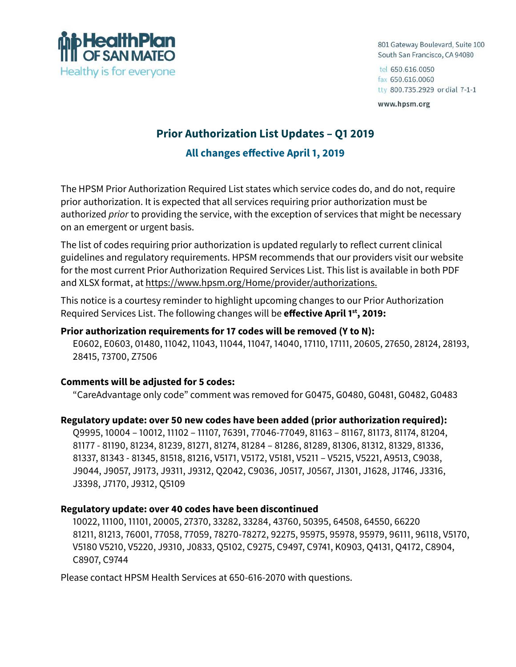

801 Gateway Boulevard, Suite 100 South San Francisco, CA 94080

tel 650.616.0050 fax 650.616.0060 tty 800.735.2929 or dial 7-1-1

www.hpsm.org

# **Prior Authorization List Updates – Q1 2019 All changes effective April 1, 2019**

The HPSM Prior Authorization Required List states which service codes do, and do not, require prior authorization. It is expected that all services requiring prior authorization must be authorized *prior* to providing the service, with the exception of services that might be necessary on an emergent or urgent basis.

The list of codes requiring prior authorization is updated regularly to reflect current clinical guidelines and regulatory requirements. HPSM recommends that our providers visit our website for the most current Prior Authorization Required Services List. This list is available in both PDF and XLSX format, at https://www.hpsm.org/Home/provider/authorizations.

This notice is a courtesy reminder to highlight upcoming changes to our Prior Authorization Required Services List. The following changes will be **effective April 1st, 2019:**

## **Prior authorization requirements for 17 codes will be removed (Y to N):**

E0602, E0603, 01480, 11042, 11043, 11044, 11047, 14040, 17110, 17111, 20605, 27650, 28124, 28193, 28415, 73700, Z7506

### **Comments will be adjusted for 5 codes:**

"CareAdvantage only code" comment was removed for G0475, G0480, G0481, G0482, G0483

### **Regulatory update: over 50 new codes have been added (prior authorization required):**

Q9995, 10004 – 10012, 11102 – 11107, 76391, 77046-77049, 81163 – 81167, 81173, 81174, 81204, 81177 - 81190, 81234, 81239, 81271, 81274, 81284 – 81286, 81289, 81306, 81312, 81329, 81336, 81337, 81343 - 81345, 81518, 81216, V5171, V5172, V5181, V5211 – V5215, V5221, A9513, C9038, J9044, J9057, J9173, J9311, J9312, Q2042, C9036, J0517, J0567, J1301, J1628, J1746, J3316, J3398, J7170, J9312, Q5109

### **Regulatory update: over 40 codes have been discontinued**

10022, 11100, 11101, 20005, 27370, 33282, 33284, 43760, 50395, 64508, 64550, 66220 81211, 81213, 76001, 77058, 77059, 78270-78272, 92275, 95975, 95978, 95979, 96111, 96118, V5170, V5180 V5210, V5220, J9310, J0833, Q5102, C9275, C9497, C9741, K0903, Q4131, Q4172, C8904, C8907, C9744

Please contact HPSM Health Services at 650-616-2070 with questions.